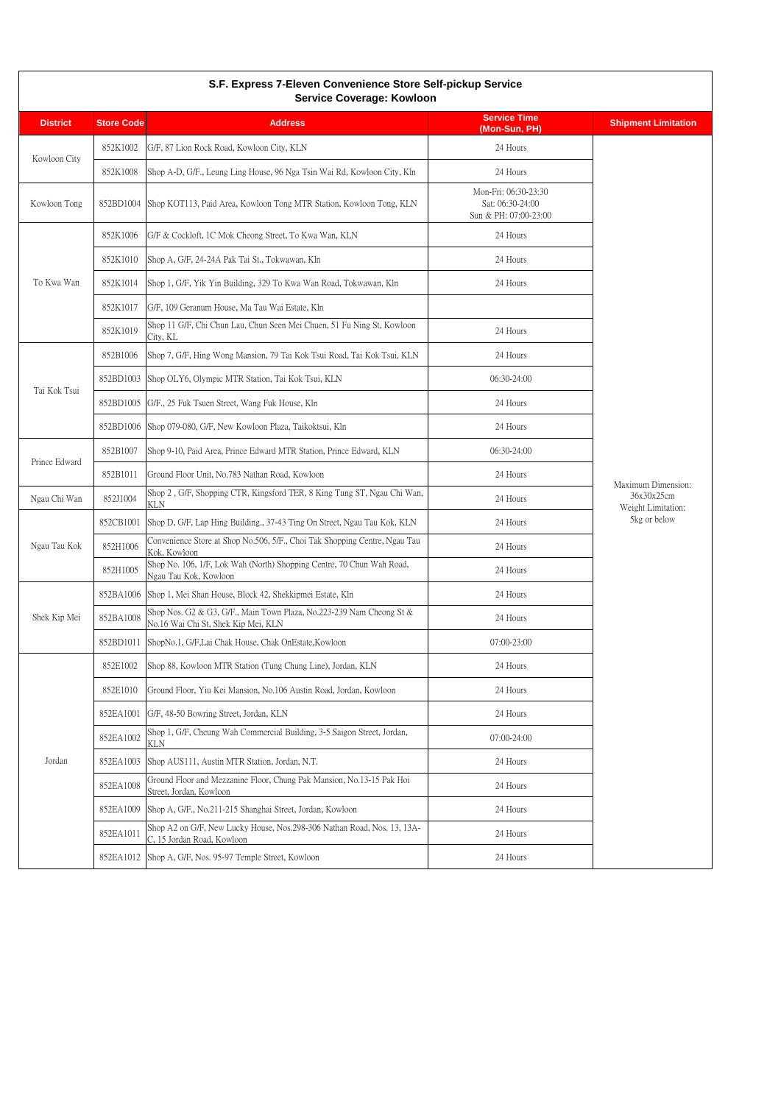| S.F. Express 7-Eleven Convenience Store Self-pickup Service<br>Service Coverage: Kowloon |                   |                                                                                                             |                                                                   |                                                                        |
|------------------------------------------------------------------------------------------|-------------------|-------------------------------------------------------------------------------------------------------------|-------------------------------------------------------------------|------------------------------------------------------------------------|
| <b>District</b>                                                                          | <b>Store Code</b> | <b>Address</b>                                                                                              | <b>Service Time</b><br>(Mon-Sun, PH)                              | <b>Shipment Limitation</b>                                             |
| Kowloon City                                                                             | 852K1002          | G/F, 87 Lion Rock Road, Kowloon City, KLN                                                                   | 24 Hours                                                          |                                                                        |
|                                                                                          | 852K1008          | Shop A-D, G/F., Leung Ling House, 96 Nga Tsin Wai Rd, Kowloon City, Kln                                     | 24 Hours                                                          |                                                                        |
| Kowloon Tong                                                                             | 852BD1004         | Shop KOT113, Paid Area, Kowloon Tong MTR Station, Kowloon Tong, KLN                                         | Mon-Fri: 06:30-23:30<br>Sat: 06:30-24:00<br>Sun & PH: 07:00-23:00 |                                                                        |
|                                                                                          | 852K1006          | G/F & Cockloft, 1C Mok Cheong Street, To Kwa Wan, KLN                                                       | 24 Hours                                                          |                                                                        |
|                                                                                          | 852K1010          | Shop A, G/F, 24-24A Pak Tai St., Tokwawan, Kln                                                              | 24 Hours                                                          |                                                                        |
| To Kwa Wan                                                                               | 852K1014          | Shop 1, G/F, Yik Yin Building, 329 To Kwa Wan Road, Tokwawan, Kln                                           | 24 Hours                                                          |                                                                        |
|                                                                                          | 852K1017          | G/F, 109 Geranum House, Ma Tau Wai Estate, Kln                                                              |                                                                   |                                                                        |
|                                                                                          | 852K1019          | Shop 11 G/F, Chi Chun Lau, Chun Seen Mei Chuen, 51 Fu Ning St, Kowloon<br>City, KL                          | 24 Hours                                                          |                                                                        |
|                                                                                          | 852B1006          | Shop 7, G/F, Hing Wong Mansion, 79 Tai Kok Tsui Road, Tai Kok Tsui, KLN                                     | 24 Hours                                                          |                                                                        |
|                                                                                          | 852BD1003         | Shop OLY6, Olympic MTR Station, Tai Kok Tsui, KLN                                                           | 06:30-24:00                                                       |                                                                        |
| Tai Kok Tsui                                                                             | 852BD1005         | G/F., 25 Fuk Tsuen Street, Wang Fuk House, Kln                                                              | 24 Hours                                                          | Maximum Dimension:<br>36x30x25cm<br>Weight Limitation:<br>5kg or below |
|                                                                                          | 852BD1006         | Shop 079-080, G/F, New Kowloon Plaza, Taikoktsui, Kln                                                       | 24 Hours                                                          |                                                                        |
|                                                                                          | 852B1007          | Shop 9-10, Paid Area, Prince Edward MTR Station, Prince Edward, KLN                                         | 06:30-24:00                                                       |                                                                        |
| Prince Edward                                                                            | 852B1011          | Ground Floor Unit, No.783 Nathan Road, Kowloon                                                              | 24 Hours                                                          |                                                                        |
| Ngau Chi Wan                                                                             | 852J1004          | Shop 2, G/F, Shopping CTR, Kingsford TER, 8 King Tung ST, Ngau Chi Wan,<br>KLN                              | 24 Hours                                                          |                                                                        |
|                                                                                          | 852CB1001         | Shop D, G/F, Lap Hing Building., 37-43 Ting On Street, Ngau Tau Kok, KLN                                    | 24 Hours                                                          |                                                                        |
| Ngau Tau Kok                                                                             | 852H1006          | Convenience Store at Shop No.506, 5/F., Choi Tak Shopping Centre, Ngau Tau<br>Kok, Kowloon                  | 24 Hours                                                          |                                                                        |
|                                                                                          | 852H1005          | Shop No. 106, 1/F, Lok Wah (North) Shopping Centre, 70 Chun Wah Road,<br>Ngau Tau Kok, Kowloon              | 24 Hours                                                          |                                                                        |
|                                                                                          | 852BA1006         | Shop 1, Mei Shan House, Block 42, Shekkipmei Estate, Kln                                                    | 24 Hours                                                          |                                                                        |
| Shek Kip Mei                                                                             | 852BA1008         | Shop Nos. G2 & G3, G/F., Main Town Plaza, No.223-239 Nam Cheong St &<br>No.16 Wai Chi St, Shek Kip Mei, KLN | 24 Hours                                                          |                                                                        |
|                                                                                          | 852BD1011         | ShopNo.1, G/F,Lai Chak House, Chak OnEstate, Kowloon                                                        | 07:00-23:00                                                       |                                                                        |
|                                                                                          | 852E1002          | Shop 88, Kowloon MTR Station (Tung Chung Line), Jordan, KLN                                                 | 24 Hours                                                          |                                                                        |
|                                                                                          | 852E1010          | Ground Floor, Yiu Kei Mansion, No.106 Austin Road, Jordan, Kowloon                                          | 24 Hours                                                          |                                                                        |
|                                                                                          | 852EA1001         | G/F, 48-50 Bowring Street, Jordan, KLN                                                                      | 24 Hours                                                          |                                                                        |
| Jordan                                                                                   | 852EA1002         | Shop 1, G/F, Cheung Wah Commercial Building, 3-5 Saigon Street, Jordan,<br>KLN                              | 07:00-24:00                                                       |                                                                        |
|                                                                                          | 852EA1003         | Shop AUS111, Austin MTR Station, Jordan, N.T.                                                               | 24 Hours                                                          |                                                                        |
|                                                                                          | 852EA1008         | Ground Floor and Mezzanine Floor, Chung Pak Mansion, No.13-15 Pak Hoi<br>Street, Jordan, Kowloon            | 24 Hours                                                          |                                                                        |
|                                                                                          | 852EA1009         | Shop A, G/F., No.211-215 Shanghai Street, Jordan, Kowloon                                                   | 24 Hours                                                          |                                                                        |
|                                                                                          | 852EA1011         | Shop A2 on G/F, New Lucky House, Nos.298-306 Nathan Road, Nos. 13, 13A-<br>C, 15 Jordan Road, Kowloon       | 24 Hours                                                          |                                                                        |
|                                                                                          | 852EA1012         | Shop A, G/F, Nos. 95-97 Temple Street, Kowloon                                                              | 24 Hours                                                          |                                                                        |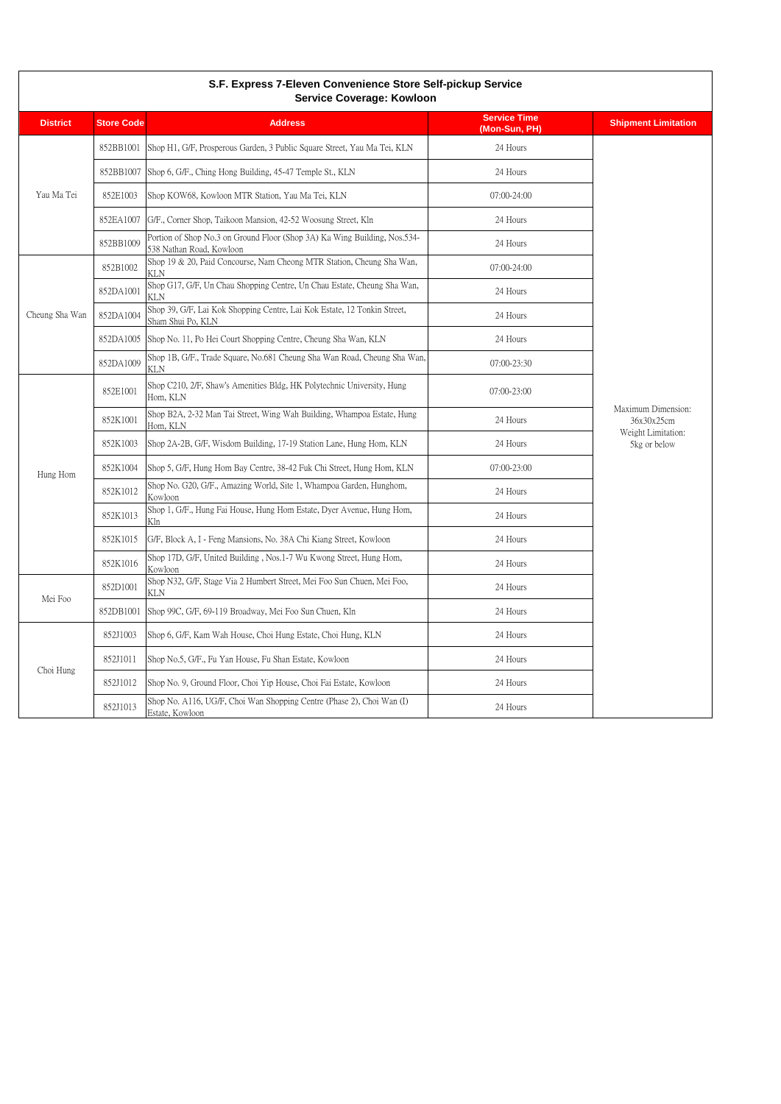| S.F. Express 7-Eleven Convenience Store Self-pickup Service<br>Service Coverage: Kowloon |                   |                                                                                                       |                                      |                                                                        |
|------------------------------------------------------------------------------------------|-------------------|-------------------------------------------------------------------------------------------------------|--------------------------------------|------------------------------------------------------------------------|
| <b>District</b>                                                                          | <b>Store Code</b> | <b>Address</b>                                                                                        | <b>Service Time</b><br>(Mon-Sun, PH) | <b>Shipment Limitation</b>                                             |
| Yau Ma Tei                                                                               | 852BB1001         | Shop H1, G/F, Prosperous Garden, 3 Public Square Street, Yau Ma Tei, KLN                              | 24 Hours                             | Maximum Dimension:<br>36x30x25cm<br>Weight Limitation:<br>5kg or below |
|                                                                                          |                   | 852BB1007 Shop 6, G/F., Ching Hong Building, 45-47 Temple St., KLN                                    | 24 Hours                             |                                                                        |
|                                                                                          | 852E1003          | Shop KOW68, Kowloon MTR Station, Yau Ma Tei, KLN                                                      | $07:00 - 24:00$                      |                                                                        |
|                                                                                          | 852EA1007         | G/F., Corner Shop, Taikoon Mansion, 42-52 Woosung Street, Kln                                         | 24 Hours                             |                                                                        |
|                                                                                          | 852BB1009         | Portion of Shop No.3 on Ground Floor (Shop 3A) Ka Wing Building, Nos.534-<br>538 Nathan Road, Kowloon | 24 Hours                             |                                                                        |
|                                                                                          | 852B1002          | Shop 19 & 20, Paid Concourse, Nam Cheong MTR Station, Cheung Sha Wan,<br>KLN                          | $07:00 - 24:00$                      |                                                                        |
|                                                                                          | 852DA1001         | Shop G17, G/F, Un Chau Shopping Centre, Un Chau Estate, Cheung Sha Wan,<br>KLN                        | 24 Hours                             |                                                                        |
| Cheung Sha Wan                                                                           | 852DA1004         | Shop 39, G/F, Lai Kok Shopping Centre, Lai Kok Estate, 12 Tonkin Street,<br>Sham Shui Po, KLN         | 24 Hours                             |                                                                        |
|                                                                                          |                   | 852DA1005 Shop No. 11, Po Hei Court Shopping Centre, Cheung Sha Wan, KLN                              | 24 Hours                             |                                                                        |
|                                                                                          | 852DA1009         | Shop 1B, G/F., Trade Square, No.681 Cheung Sha Wan Road, Cheung Sha Wan,<br>KLN                       | 07:00-23:30                          |                                                                        |
|                                                                                          | 852E1001          | Shop C210, 2/F, Shaw's Amenities Bldg, HK Polytechnic University, Hung<br>Hom, KLN                    | 07:00-23:00                          |                                                                        |
|                                                                                          | 852K1001          | Shop B2A, 2-32 Man Tai Street, Wing Wah Building, Whampoa Estate, Hung<br>Hom, KLN                    | 24 Hours                             |                                                                        |
|                                                                                          | 852K1003          | Shop 2A-2B, G/F, Wisdom Building, 17-19 Station Lane, Hung Hom, KLN                                   | 24 Hours                             |                                                                        |
| Hung Hom                                                                                 | 852K1004          | Shop 5, G/F, Hung Hom Bay Centre, 38-42 Fuk Chi Street, Hung Hom, KLN                                 | 07:00-23:00                          |                                                                        |
|                                                                                          | 852K1012          | Shop No. G20, G/F., Amazing World, Site 1, Whampoa Garden, Hunghom,<br>Kowloon                        | 24 Hours                             |                                                                        |
|                                                                                          | 852K1013          | Shop 1, G/F., Hung Fai House, Hung Hom Estate, Dyer Avenue, Hung Hom,<br>Kln                          | 24 Hours                             |                                                                        |
|                                                                                          | 852K1015          | G/F, Block A, I - Feng Mansions, No. 38A Chi Kiang Street, Kowloon                                    | 24 Hours                             |                                                                        |
|                                                                                          | 852K1016          | Shop 17D, G/F, United Building, Nos.1-7 Wu Kwong Street, Hung Hom,<br>Kowloon                         | 24 Hours                             |                                                                        |
|                                                                                          | 852D1001          | Shop N32, G/F, Stage Via 2 Humbert Street, Mei Foo Sun Chuen, Mei Foo,<br>KLN                         | 24 Hours                             |                                                                        |
| Mei Foo                                                                                  | 852DB1001         | Shop 99C, G/F, 69-119 Broadway, Mei Foo Sun Chuen, Kln                                                | 24 Hours                             |                                                                        |
| Choi Hung                                                                                | 852J1003          | Shop 6, G/F, Kam Wah House, Choi Hung Estate, Choi Hung, KLN                                          | 24 Hours                             |                                                                        |
|                                                                                          | 852J1011          | Shop No.5, G/F., Fu Yan House, Fu Shan Estate, Kowloon                                                | 24 Hours                             |                                                                        |
|                                                                                          | 852J1012          | Shop No. 9, Ground Floor, Choi Yip House, Choi Fai Estate, Kowloon                                    | 24 Hours                             |                                                                        |
|                                                                                          | 852J1013          | Shop No. A116, UG/F, Choi Wan Shopping Centre (Phase 2), Choi Wan (I)<br>Estate, Kowloon              | 24 Hours                             |                                                                        |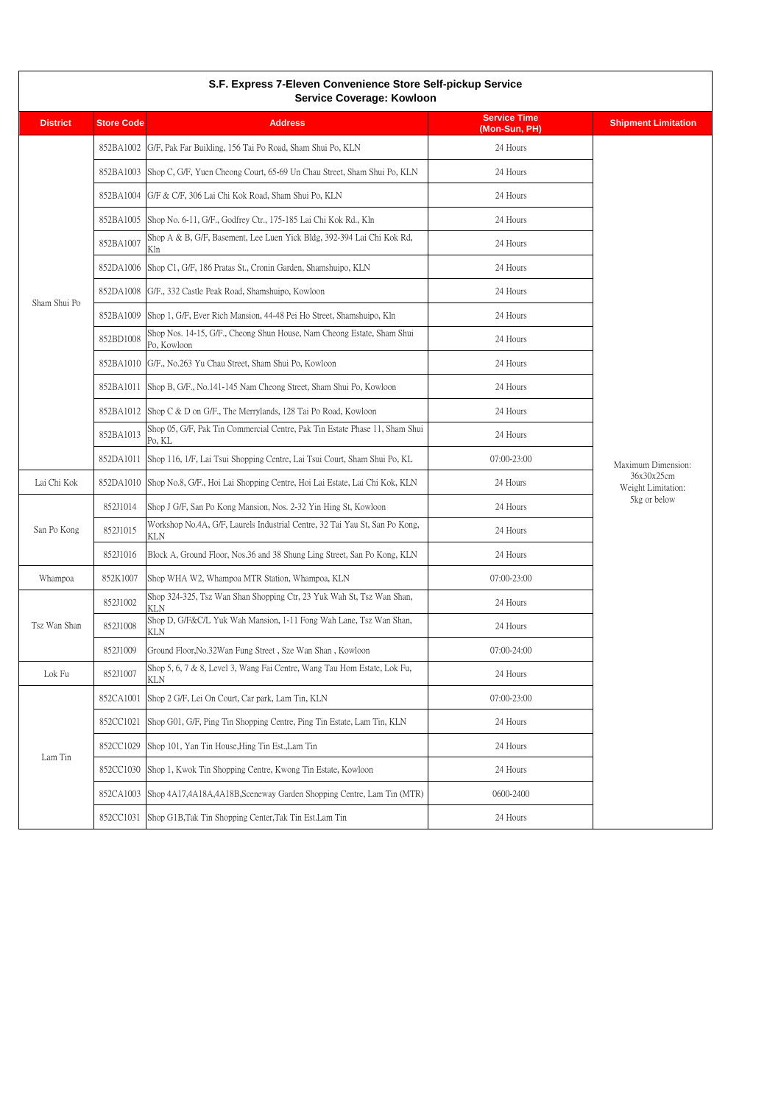| S.F. Express 7-Eleven Convenience Store Self-pickup Service<br>Service Coverage: Kowloon |                   |                                                                                           |                                      |                                                                        |
|------------------------------------------------------------------------------------------|-------------------|-------------------------------------------------------------------------------------------|--------------------------------------|------------------------------------------------------------------------|
| <b>District</b>                                                                          | <b>Store Code</b> | <b>Address</b>                                                                            | <b>Service Time</b><br>(Mon-Sun, PH) | <b>Shipment Limitation</b>                                             |
|                                                                                          | 852BA1002         | G/F, Pak Far Building, 156 Tai Po Road, Sham Shui Po, KLN                                 | 24 Hours                             |                                                                        |
|                                                                                          | 852BA1003         | Shop C, G/F, Yuen Cheong Court, 65-69 Un Chau Street, Sham Shui Po, KLN                   | 24 Hours                             |                                                                        |
|                                                                                          | 852BA1004         | G/F & C/F, 306 Lai Chi Kok Road, Sham Shui Po, KLN                                        | 24 Hours                             |                                                                        |
|                                                                                          | 852BA1005         | Shop No. 6-11, G/F., Godfrey Ctr., 175-185 Lai Chi Kok Rd., Kln                           | 24 Hours                             |                                                                        |
|                                                                                          | 852BA1007         | Shop A & B, G/F, Basement, Lee Luen Yick Bldg, 392-394 Lai Chi Kok Rd,<br>Kln             | 24 Hours                             |                                                                        |
|                                                                                          | 852DA1006         | Shop C1, G/F, 186 Pratas St., Cronin Garden, Shamshuipo, KLN                              | 24 Hours                             |                                                                        |
|                                                                                          | 852DA1008         | G/F., 332 Castle Peak Road, Shamshuipo, Kowloon                                           | 24 Hours                             |                                                                        |
| Sham Shui Po                                                                             | 852BA1009         | Shop 1, G/F, Ever Rich Mansion, 44-48 Pei Ho Street, Shamshuipo, Kln                      | 24 Hours                             |                                                                        |
|                                                                                          | 852BD1008         | Shop Nos. 14-15, G/F., Cheong Shun House, Nam Cheong Estate, Sham Shui<br>Po, Kowloon     | 24 Hours                             |                                                                        |
|                                                                                          | 852BA1010         | G/F., No.263 Yu Chau Street, Sham Shui Po, Kowloon                                        | 24 Hours                             |                                                                        |
|                                                                                          | 852BA1011         | Shop B, G/F., No.141-145 Nam Cheong Street, Sham Shui Po, Kowloon                         | 24 Hours                             |                                                                        |
|                                                                                          | 852BA1012         | Shop C & D on G/F., The Merrylands, 128 Tai Po Road, Kowloon                              | 24 Hours                             | Maximum Dimension:<br>36x30x25cm<br>Weight Limitation:<br>5kg or below |
|                                                                                          | 852BA1013         | Shop 05, G/F, Pak Tin Commercial Centre, Pak Tin Estate Phase 11, Sham Shui<br>Po, KL     | 24 Hours                             |                                                                        |
|                                                                                          | 852DA1011         | Shop 116, 1/F, Lai Tsui Shopping Centre, Lai Tsui Court, Sham Shui Po, KL                 | 07:00-23:00                          |                                                                        |
| Lai Chi Kok                                                                              | 852DA1010         | Shop No.8, G/F., Hoi Lai Shopping Centre, Hoi Lai Estate, Lai Chi Kok, KLN                | 24 Hours                             |                                                                        |
|                                                                                          | 852J1014          | Shop J G/F, San Po Kong Mansion, Nos. 2-32 Yin Hing St, Kowloon                           | 24 Hours                             |                                                                        |
| San Po Kong                                                                              | 852J1015          | Workshop No.4A, G/F, Laurels Industrial Centre, 32 Tai Yau St, San Po Kong,<br><b>KLN</b> | 24 Hours                             |                                                                        |
|                                                                                          | 852J1016          | Block A, Ground Floor, Nos.36 and 38 Shung Ling Street, San Po Kong, KLN                  | 24 Hours                             |                                                                        |
| Whampoa                                                                                  | 852K1007          | Shop WHA W2, Whampoa MTR Station, Whampoa, KLN                                            | 07:00-23:00                          |                                                                        |
| Tsz Wan Shan                                                                             | 852J1002          | Shop 324-325, Tsz Wan Shan Shopping Ctr, 23 Yuk Wah St, Tsz Wan Shan,<br>KLN              | 24 Hours                             |                                                                        |
|                                                                                          | 852J1008          | Shop D, G/F&C/L Yuk Wah Mansion, 1-11 Fong Wah Lane, Tsz Wan Shan,<br>KLN                 | 24 Hours                             |                                                                        |
|                                                                                          | 852J1009          | Ground Floor, No.32Wan Fung Street, Sze Wan Shan, Kowloon                                 | 07:00-24:00                          |                                                                        |
| Lok Fu                                                                                   | 852J1007          | Shop 5, 6, 7 & 8, Level 3, Wang Fai Centre, Wang Tau Hom Estate, Lok Fu,<br>KLN           | 24 Hours                             |                                                                        |
|                                                                                          | 852CA1001         | Shop 2 G/F, Lei On Court, Car park, Lam Tin, KLN                                          | 07:00-23:00                          |                                                                        |
| Lam Tin                                                                                  | 852CC1021         | Shop G01, G/F, Ping Tin Shopping Centre, Ping Tin Estate, Lam Tin, KLN                    | 24 Hours                             |                                                                        |
|                                                                                          | 852CC1029         | Shop 101, Yan Tin House, Hing Tin Est., Lam Tin                                           | 24 Hours                             |                                                                        |
|                                                                                          | 852CC1030         | Shop 1, Kwok Tin Shopping Centre, Kwong Tin Estate, Kowloon                               | 24 Hours                             |                                                                        |
|                                                                                          | 852CA1003         | Shop 4A17,4A18A,4A18B,Sceneway Garden Shopping Centre, Lam Tin (MTR)                      | 0600-2400                            |                                                                        |
|                                                                                          | 852CC1031         | Shop G1B, Tak Tin Shopping Center, Tak Tin Est. Lam Tin                                   | 24 Hours                             |                                                                        |